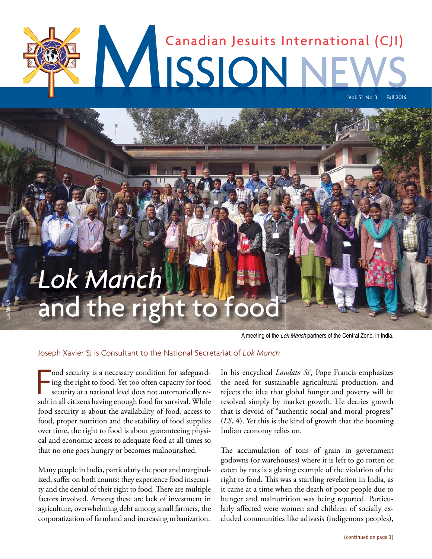# MISSIONN Canadian Jesuits International (CJI) Vol. 51 No. 3 | Fall 2016

# **Lok Manchelle Right to food the right to food the right to food the right to food the right to food the right** *Lok Manch* and the right

A meeting of the Lok Manch partners of the Central Zone, in India.

#### Joseph Xavier SJ is Consultant to the National Secretariat of *Lok Manch*

ood security is a necessary condition for safeguard-<br>ing the right to food. Yet too often capacity for food<br>security at a national level does not automatically re-<br>sult in all citizens having enough food for survival. Whil ood security is a necessary condition for safeguarding the right to food. Yet too often capacity for food security at a national level does not automatically refood security is about the availability of food, access to food, proper nutrition and the stability of food supplies over time, the right to food is about guaranteeing physical and economic access to adequate food at all times so that no one goes hungry or becomes malnourished.

Lok Manch

Many people in India, particularly the poor and marginalized, suffer on both counts: they experience food insecurity and the denial of their right to food. There are multiple factors involved. Among these are lack of investment in agriculture, overwhelming debt among small farmers, the corporatization of farmland and increasing urbanization.

In his encyclical *Laudato Si'*, Pope Francis emphasizes the need for sustainable agricultural production, and rejects the idea that global hunger and poverty will be resolved simply by market growth. He decries growth that is devoid of "authentic social and moral progress" (*LS*, 4). Yet this is the kind of growth that the booming Indian economy relies on.

The accumulation of tons of grain in government godowns (or warehouses) where it is left to go rotten or eaten by rats is a glaring example of the violation of the right to food. This was a startling revelation in India, as it came at a time when the death of poor people due to hunger and malnutrition was being reported. Particularly affected were women and children of socially excluded communities like adivasis (indigenous peoples),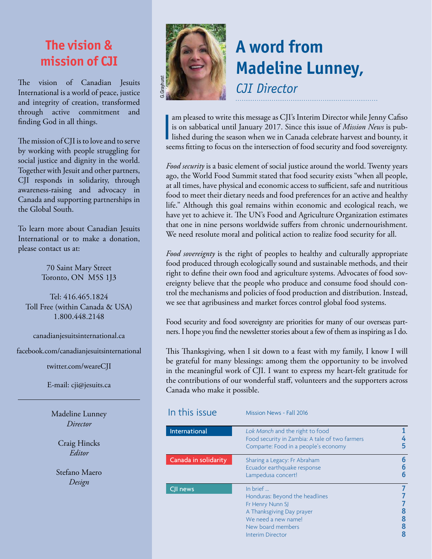## **The vision & mission of CJI**

The vision of Canadian Jesuits International is a world of peace, justice and integrity of creation, transformed through active commitment and finding God in all things.

The mission of CJI is to love and to serve by working with people struggling for social justice and dignity in the world. Together with Jesuit and other partners, CJI responds in solidarity, through awareness-raising and advocacy in Canada and supporting partnerships in the Global South.

To learn more about Canadian Jesuits International or to make a donation, please contact us at:

> 70 Saint Mary Street Toronto, ON M5S 1J3

Tel: 416.465.1824 Toll Free (within Canada & USA) 1.800.448.2148

canadianjesuitsinternational.ca

facebook.com/canadianjesuitsinternational

twitter.com/weareCJI

E-mail: cji@jesuits.ca

Madeline Lunney *Director*

> Craig Hincks *Editor*

Stefano Maero *Design*



# **A word from Madeline Lunney,**

*CJI Director*

|<br>Second to the second second second second second second second second second second second second second second second second second second second second second second second second second second second second second sec am pleased to write this message as CJI's Interim Director while Jenny Cafiso is on sabbatical until January 2017. Since this issue of *Mission News* is published during the season when we in Canada celebrate harvest and bounty, it seems fitting to focus on the intersection of food security and food sovereignty.

*Food security* is a basic element of social justice around the world. Twenty years ago, the World Food Summit stated that food security exists "when all people, at all times, have physical and economic access to sufficient, safe and nutritious food to meet their dietary needs and food preferences for an active and healthy life." Although this goal remains within economic and ecological reach, we have yet to achieve it. The UN's Food and Agriculture Organization estimates that one in nine persons worldwide suffers from chronic undernourishment. We need resolute moral and political action to realize food security for all.

*Food sovereignty* is the right of peoples to healthy and culturally appropriate food produced through ecologically sound and sustainable methods, and their right to define their own food and agriculture systems. Advocates of food sovereignty believe that the people who produce and consume food should control the mechanisms and policies of food production and distribution. Instead, we see that agribusiness and market forces control global food systems.

Food security and food sovereignty are priorities for many of our overseas partners. I hope you find the newsletter stories about a few of them as inspiring as I do.

This Thanksgiving, when I sit down to a feast with my family, I know I will be grateful for many blessings: among them the opportunity to be involved in the meaningful work of CJI. I want to express my heart-felt gratitude for the contributions of our wonderful staff, volunteers and the supporters across Canada who make it possible.

| In this issue        | Mission News - Fall 2016                                                                                                                                           |             |
|----------------------|--------------------------------------------------------------------------------------------------------------------------------------------------------------------|-------------|
| International        | Lok Manch and the right to food<br>Food security in Zambia: A tale of two farmers<br>Comparte: Food in a people's economy                                          | 5           |
| Canada in solidarity | Sharing a Legacy: Fr Abraham<br>Ecuador earthquake response<br>Lampedusa concert!                                                                                  | 6<br>6<br>6 |
| CJI news             | In brief<br>Honduras: Beyond the headlines<br>Fr Henry Nunn SJ<br>A Thanksgiving Day prayer<br>We need a new name!<br>New board members<br><b>Interim Director</b> | 8           |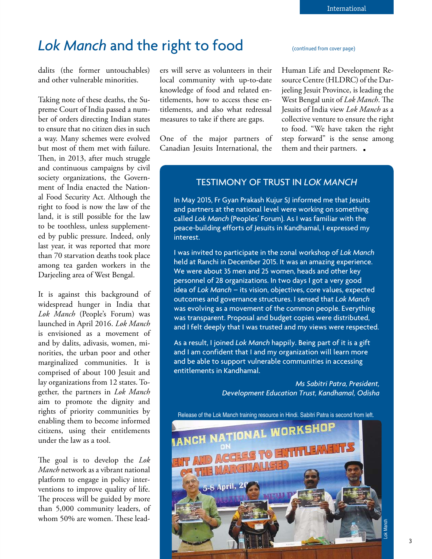## Lok Manch and the right to food **Continued from cover page**)

dalits (the former untouchables) and other vulnerable minorities.

Taking note of these deaths, the Supreme Court of India passed a number of orders directing Indian states to ensure that no citizen dies in such a way. Many schemes were evolved but most of them met with failure. Then, in 2013, after much struggle and continuous campaigns by civil society organizations, the Government of India enacted the National Food Security Act. Although the right to food is now the law of the land, it is still possible for the law to be toothless, unless supplemented by public pressure. Indeed, only last year, it was reported that more than 70 starvation deaths took place among tea garden workers in the Darjeeling area of West Bengal.

It is against this background of widespread hunger in India that *Lok Manch* (People's Forum) was launched in April 2016. *Lok Manch* is envisioned as a movement of and by dalits, adivasis, women, minorities, the urban poor and other marginalized communities. It is comprised of about 100 Jesuit and lay organizations from 12 states. Together, the partners in *Lok Manch* aim to promote the dignity and rights of priority communities by enabling them to become informed citizens, using their entitlements under the law as a tool.

The goal is to develop the *Lok Manch* network as a vibrant national platform to engage in policy interventions to improve quality of life. The process will be guided by more than 5,000 community leaders, of whom 50% are women. These leaders will serve as volunteers in their local community with up-to-date knowledge of food and related entitlements, how to access these entitlements, and also what redressal measures to take if there are gaps.

One of the major partners of Canadian Jesuits International, the

Human Life and Development Resource Centre (HLDRC) of the Darjeeling Jesuit Province, is leading the West Bengal unit of *Lok Manch*. The Jesuits of India view *Lok Manch* as a collective venture to ensure the right to food. "We have taken the right step forward" is the sense among them and their partners.

#### TESTIMONY OF TRUST IN *LOK MANCH*

In May 2015, Fr Gyan Prakash Kujur SJ informed me that Jesuits and partners at the national level were working on something called *Lok Manch* (Peoples' Forum). As I was familiar with the peace-building efforts of Jesuits in Kandhamal, I expressed my interest.

I was invited to participate in the zonal workshop of *Lok Manch* held at Ranchi in December 2015. It was an amazing experience. We were about 35 men and 25 women, heads and other key personnel of 28 organizations. In two days I got a very good idea of *Lok Manch* – its vision, objectives, core values, expected outcomes and governance structures. I sensed that *Lok Manch* was evolving as a movement of the common people. Everything was transparent. Proposal and budget copies were distributed, and I felt deeply that I was trusted and my views were respected.

As a result, I joined *Lok Manch* happily. Being part of it is a gift and I am confident that I and my organization will learn more and be able to support vulnerable communities in accessing entitlements in Kandhamal.

> *Ms Sabitri Patra, President, Development Education Trust, Kandhamal, Odisha*

Release of the Lok Manch training resource in Hindi. Sabitri Patra is second from left.

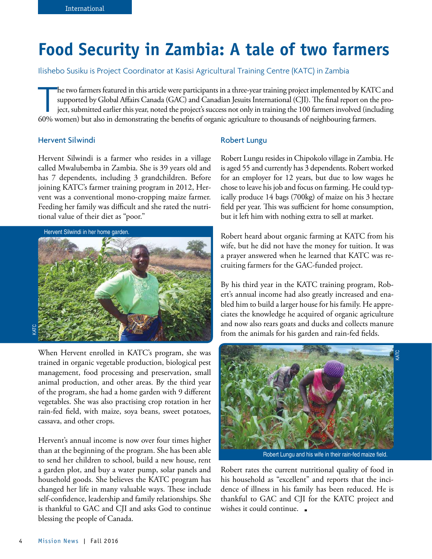## **Food Security in Zambia: A tale of two farmers**

Ilishebo Susiku is Project Coordinator at Kasisi Agricultural Training Centre (KATC) in Zambia

he two farmers featured in this article were participants in a three-year training project implemented by KAT<br>supported by Global Affairs Canada (GAC) and Canadian Jesuits International (CJI). The final report on th<br>ject, he two farmers featured in this article were participants in a three-year training project implemented by KATC and supported by Global Affairs Canada (GAC) and Canadian Jesuits International (CJI). The final report on the project, submitted earlier this year, noted the project's success not only in training the 100 farmers involved (including

#### Hervent Silwindi

Hervent Silwindi is a farmer who resides in a village called Mwalubemba in Zambia. She is 39 years old and has 7 dependents, including 3 grandchildren. Before joining KATC's farmer training program in 2012, Hervent was a conventional mono-cropping maize farmer. Feeding her family was difficult and she rated the nutritional value of their diet as "poor."



When Hervent enrolled in KATC's program, she was trained in organic vegetable production, biological pest management, food processing and preservation, small animal production, and other areas. By the third year of the program, she had a home garden with 9 different vegetables. She was also practising crop rotation in her rain-fed field, with maize, soya beans, sweet potatoes, cassava, and other crops.

Hervent's annual income is now over four times higher than at the beginning of the program. She has been able to send her children to school, build a new house, rent a garden plot, and buy a water pump, solar panels and household goods. She believes the KATC program has changed her life in many valuable ways. These include self-confidence, leadership and family relationships. She is thankful to GAC and CJI and asks God to continue blessing the people of Canada.

#### Robert Lungu

Robert Lungu resides in Chipokolo village in Zambia. He is aged 55 and currently has 3 dependents. Robert worked for an employer for 12 years, but due to low wages he chose to leave his job and focus on farming. He could typically produce 14 bags (700kg) of maize on his 3 hectare field per year. This was sufficient for home consumption, but it left him with nothing extra to sell at market.

Robert heard about organic farming at KATC from his wife, but he did not have the money for tuition. It was a prayer answered when he learned that KATC was recruiting farmers for the GAC-funded project.

By his third year in the KATC training program, Robert's annual income had also greatly increased and enabled him to build a larger house for his family. He appreciates the knowledge he acquired of organic agriculture and now also rears goats and ducks and collects manure from the animals for his garden and rain-fed fields.



Robert Lungu and his wife in their rain-fed maize field.

Robert rates the current nutritional quality of food in his household as "excellent" and reports that the incidence of illness in his family has been reduced. He is thankful to GAC and CJI for the KATC project and wishes it could continue.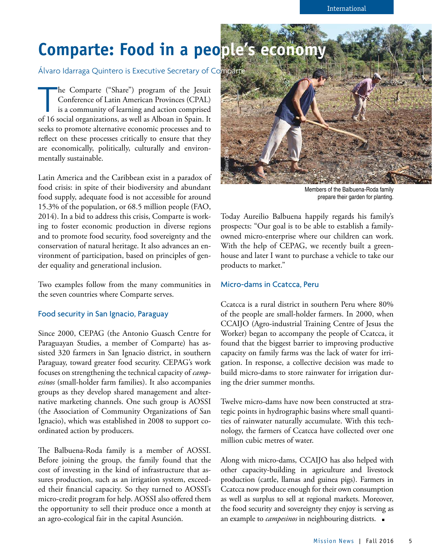## **Comparte: Food in a people's economy**

Álvaro Idarraga Quintero is Executive Secretary of Comparte

he Comparte ("Share") program of the Jesuit<br>Conference of Latin American Provinces (CPAL)<br>is a community of learning and action comprised<br>of 16 social organizations, as well as Alboan in Spain. It he Comparte ("Share") program of the Jesuit Conference of Latin American Provinces (CPAL) is a community of learning and action comprised seeks to promote alternative economic processes and to reflect on these processes critically to ensure that they are economically, politically, culturally and environmentally sustainable.

Latin America and the Caribbean exist in a paradox of food crisis: in spite of their biodiversity and abundant food supply, adequate food is not accessible for around 15.3% of the population, or 68.5 million people (FAO, 2014). In a bid to address this crisis, Comparte is working to foster economic production in diverse regions and to promote food security, food sovereignty and the conservation of natural heritage. It also advances an environment of participation, based on principles of gender equality and generational inclusion.

Two examples follow from the many communities in the seven countries where Comparte serves.

#### Food security in San Ignacio, Paraguay

Since 2000, CEPAG (the Antonio Guasch Centre for Paraguayan Studies, a member of Comparte) has assisted 320 farmers in San Ignacio district, in southern Paraguay, toward greater food security. CEPAG's work focuses on strengthening the technical capacity of *campesinos* (small-holder farm families). It also accompanies groups as they develop shared management and alternative marketing channels. One such group is AOSSI (the Association of Community Organizations of San Ignacio), which was established in 2008 to support coordinated action by producers.

The Balbuena-Roda family is a member of AOSSI. Before joining the group, the family found that the cost of investing in the kind of infrastructure that assures production, such as an irrigation system, exceeded their financial capacity. So they turned to AOSSI's micro-credit program for help. AOSSI also offered them the opportunity to sell their produce once a month at an agro-ecological fair in the capital Asunción.



Members of the Balbuena-Roda family prepare their garden for planting.

Today Aureilio Balbuena happily regards his family's prospects: "Our goal is to be able to establish a familyowned micro-enterprise where our children can work. With the help of CEPAG, we recently built a greenhouse and later I want to purchase a vehicle to take our products to market."

#### Micro-dams in Ccatcca, Peru

Ccatcca is a rural district in southern Peru where 80% of the people are small-holder farmers. In 2000, when CCAIJO (Agro-industrial Training Centre of Jesus the Worker) began to accompany the people of Ccatcca, it found that the biggest barrier to improving productive capacity on family farms was the lack of water for irrigation. In response, a collective decision was made to build micro-dams to store rainwater for irrigation during the drier summer months.

Twelve micro-dams have now been constructed at strategic points in hydrographic basins where small quantities of rainwater naturally accumulate. With this technology, the farmers of Ccatcca have collected over one million cubic metres of water.

Along with micro-dams, CCAIJO has also helped with other capacity-building in agriculture and livestock production (cattle, llamas and guinea pigs). Farmers in Ccatcca now produce enough for their own consumption as well as surplus to sell at regional markets. Moreover, the food security and sovereignty they enjoy is serving as an example to *campesinos* in neighbouring districts.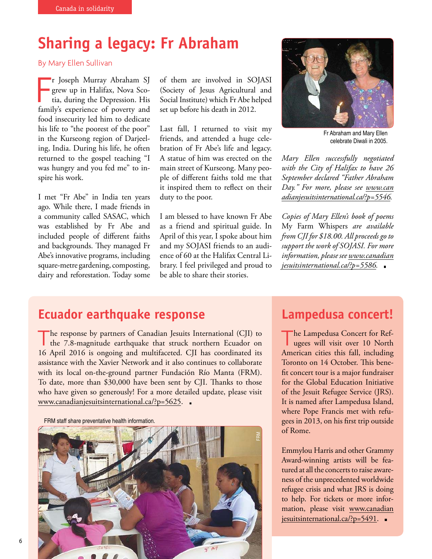## **Sharing a legacy: Fr Abraham**

By Mary Ellen Sullivan

r Joseph Murray Abraham SJ<br>grew up in Halifax, Nova Sco-<br>tia, during the Depression. His<br>family's experience of poverty and r Joseph Murray Abraham SJ grew up in Halifax, Nova Scotia, during the Depression. His food insecurity led him to dedicate his life to "the poorest of the poor" in the Kurseong region of Darjeeling, India. During his life, he often returned to the gospel teaching "I was hungry and you fed me" to inspire his work.

I met "Fr Abe" in India ten years ago. While there, I made friends in a community called SASAC, which was established by Fr Abe and included people of different faiths and backgrounds. They managed Fr Abe's innovative programs, including square-metre gardening, composting, dairy and reforestation. Today some of them are involved in SOJASI (Society of Jesus Agricultural and Social Institute) which Fr Abe helped set up before his death in 2012.

Last fall, I returned to visit my friends, and attended a huge celebration of Fr Abe's life and legacy. A statue of him was erected on the main street of Kurseong. Many people of different faiths told me that it inspired them to reflect on their duty to the poor.

I am blessed to have known Fr Abe as a friend and spiritual guide. In April of this year, I spoke about him and my SOJASI friends to an audience of 60 at the Halifax Central Library. I feel privileged and proud to be able to share their stories.



Fr Abraham and Mary Ellen celebrate Diwali in 2005.

*Mary Ellen successfully negotiated with the City of Halifax to have 26 September declared "Father Abraham [Day." For more, please see www.can](http://www.canadianjesuitsinternational.ca/?p=5546) adianjesuitsinternational.ca/?p=5546.*

*Copies of Mary Ellen's book of poems*  My Farm Whispers *are available from CJI for \$18.00. All proceeds go to support the work of SOJASI. For more [information, please see www.canadian](http://www.canadianjesuitsinternational.ca/?p=5586) jesuitsinternational.ca/?p=5586.*

### **Ecuador earthquake response**

The response by partners of Canadian Jesuits International (CJI) to<br>the 7.8-magnitude earthquake that struck northern Ecuador on the 7.8-magnitude earthquake that struck northern Ecuador on 16 April 2016 is ongoing and multifaceted. CJI has coordinated its assistance with the Xavier Network and it also continues to collaborate with its local on-the-ground partner Fundación Río Manta (FRM). To date, more than \$30,000 have been sent by CJI. Thanks to those who have given so generously! For a more detailed update, please visit www.canadianjesuitsinternational.ca/?p=5625.

FRM staff share preventative health information.



### **Lampedusa concert!**

T he Lampedusa Concert for Refugees will visit over 10 North American cities this fall, including Toronto on 14 October. This benefit concert tour is a major fundraiser for the Global Education Initiative of the Jesuit Refugee Service (JRS). It is named after Lampedusa Island, where Pope Francis met with refugees in 2013, on his first trip outside of Rome.

Emmylou Harris and other Grammy Award-winning artists will be featured at all the concerts to raise awareness of the unprecedented worldwide refugee crisis and what JRS is doing to help. For tickets or more infor[mation, please visit www.canadian](http://www.canadianjesuitsinternational.ca/?p=5491) jesuitsinternational.ca/?p=5491.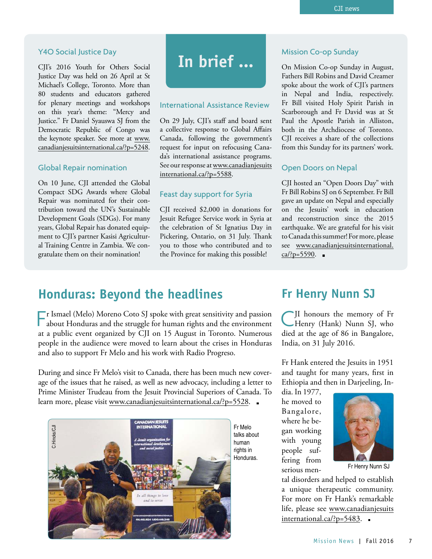#### Y4O Social Justice Day

CJI's 2016 Youth for Others Social Justice Day was held on 26 April at St Michael's College, Toronto. More than 80 students and educators gathered for plenary meetings and workshops on this year's theme: "Mercy and Justice." Fr Daniel Syauswa SJ from the Democratic Republic of Congo was the keynote speaker. See more at www. canadianjesuitsinternational.ca/?p=5248.

#### Global Repair nomination

On 10 June, CJI attended the Global Compact SDG Awards where Global Repair was nominated for their contribution toward the UN's Sustainable Development Goals (SDGs). For many years, Global Repair has donated equipment to CJI's partner Kasisi Agricultural Training Centre in Zambia. We congratulate them on their nomination!

## **In brief ...**

#### International Assistance Review

On 29 July, CJI's staff and board sent a collective response to Global Affairs Canada, following the government's request for input on refocusing Canada's international assistance programs. [See our response at www.canadianjesuits](http://www.canadianjesuitsinternational.ca/?p=5588) international.ca/?p=5588.

#### Feast day support for Syria

CJI received \$2,000 in donations for Jesuit Refugee Service work in Syria at the celebration of St Ignatius Day in Pickering, Ontario, on 31 July. Thank you to those who contributed and to the Province for making this possible!

#### Mission Co-op Sunday

On Mission Co-op Sunday in August, Fathers Bill Robins and David Creamer spoke about the work of CJI's partners in Nepal and India, respectively. Fr Bill visited Holy Spirit Parish in Scarborough and Fr David was at St Paul the Apostle Parish in Alliston, both in the Archdiocese of Toronto. CJI receives a share of the collections from this Sunday for its partners' work.

#### Open Doors on Nepal

CJI hosted an "Open Doors Day" with Fr Bill Robins SJ on 6 September. Fr Bill gave an update on Nepal and especially on the Jesuits' work in education and reconstruction since the 2015 earthquake. We are grateful for his visit to Canada this summer! For more, please [see www.canadianjesuitsinternational.](http://www.canadianjesuitsinternational.ca/?p=5590)  $ca$  $?p=5590$ .

### **Honduras: Beyond the headlines**

F Ismael (Melo) Moreno Coto SJ spoke with great sensitivity and passion<br>about Honduras and the struggle for human rights and the environment r Ismael (Melo) Moreno Coto SJ spoke with great sensitivity and passion at a public event organized by CJI on 15 August in Toronto. Numerous people in the audience were moved to learn about the crises in Honduras and also to support Fr Melo and his work with Radio Progreso.

During and since Fr Melo's visit to Canada, there has been much new coverage of the issues that he raised, as well as new advocacy, including a letter to Prime Minister Trudeau from the Jesuit Provincial Superiors of Canada. To learn more, please visit www.canadianjesuitsinternational.ca/?p=5528.



**Fr Henry Nunn SJ**

C JI honours the memory of Fr Henry (Hank) Nunn SJ, who died at the age of 86 in Bangalore, India, on 31 July 2016.

Fr Hank entered the Jesuits in 1951 and taught for many years, first in Ethiopia and then in Darjeeling, In-

dia. In 1977, he moved to Bangalore, where he began working with young people suffering from serious men-



Fr Henry Nunn SJ

tal disorders and helped to establish a unique therapeutic community. For more on Fr Hank's remarkable [life, please see www.canadianjesuits](http://www.canadianjesuitsinternational.ca/?p=5483) international.ca/?p=5483.